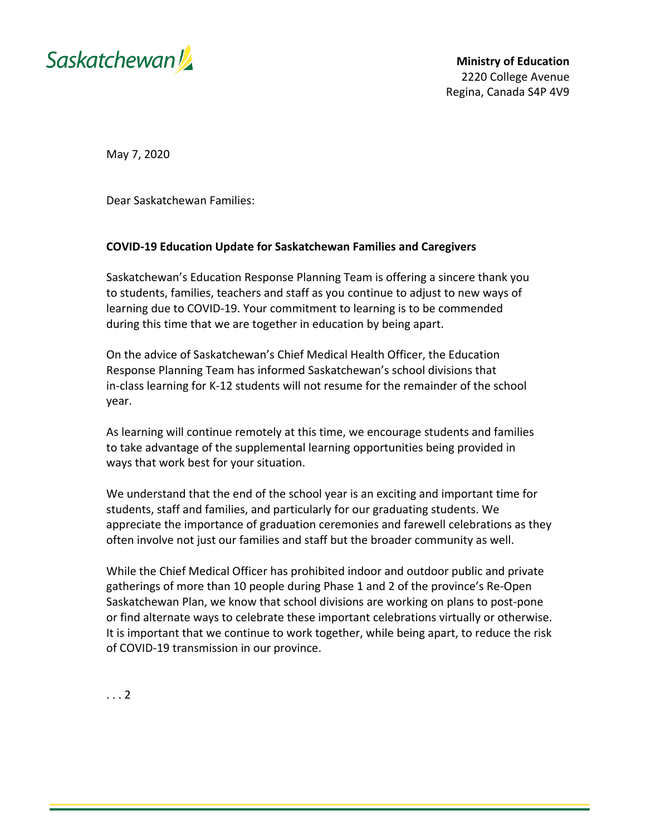

May 7, 2020

Dear Saskatchewan Families:

## **COVID-19 Education Update for Saskatchewan Families and Caregivers**

Saskatchewan's Education Response Planning Team is offering a sincere thank you to students, families, teachers and staff as you continue to adjust to new ways of learning due to COVID-19. Your commitment to learning is to be commended during this time that we are together in education by being apart.

On the advice of Saskatchewan's Chief Medical Health Officer, the Education Response Planning Team has informed Saskatchewan's school divisions that in-class learning for K-12 students will not resume for the remainder of the school year.

As learning will continue remotely at this time, we encourage students and families to take advantage of the supplemental learning opportunities being provided in ways that work best for your situation.

We understand that the end of the school year is an exciting and important time for students, staff and families, and particularly for our graduating students. We appreciate the importance of graduation ceremonies and farewell celebrations as they often involve not just our families and staff but the broader community as well.

While the Chief Medical Officer has prohibited indoor and outdoor public and private gatherings of more than 10 people during Phase 1 and 2 of the province's Re-Open Saskatchewan Plan, we know that school divisions are working on plans to post-pone or find alternate ways to celebrate these important celebrations virtually or otherwise. It is important that we continue to work together, while being apart, to reduce the risk of COVID-19 transmission in our province.